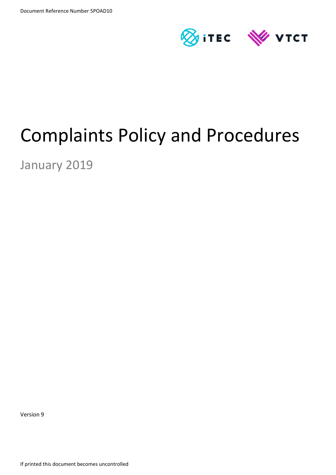

# Complaints Policy and Procedures

January 2019

Version 9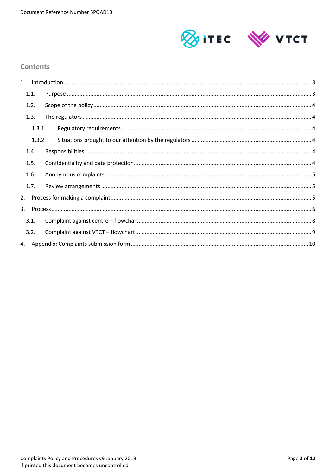

### **Contents**

|    | 1.1.   |  |
|----|--------|--|
|    | 1.2.   |  |
|    | 1.3.   |  |
|    | 1.3.1. |  |
|    | 1.3.2. |  |
|    | 1.4.   |  |
|    | 1.5.   |  |
|    | 1.6.   |  |
|    | 1.7.   |  |
|    |        |  |
| 3. |        |  |
|    | 3.1.   |  |
|    | 3.2.   |  |
|    |        |  |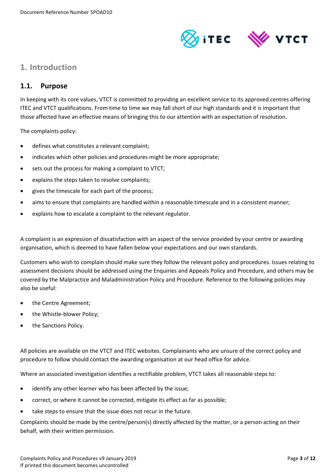

## <span id="page-2-0"></span>**1. Introduction**

## <span id="page-2-1"></span>**1.1. Purpose**

In keeping with its core values, VTCT is committed to providing an excellent service to its approved centres offering ITEC and VTCT qualifications. From time to time we may fall short of our high standards and it is important that those affected have an effective means of bringing this to our attention with an expectation of resolution.

The complaints policy:

- defines what constitutes a relevant complaint;
- indicates which other policies and procedures might be more appropriate;
- sets out the process for making a complaint to VTCT;
- explains the steps taken to resolve complaints;
- gives the timescale for each part of the process;
- aims to ensure that complaints are handled within a reasonable timescale and in a consistent manner;
- explains how to escalate a complaint to the relevant regulator.

A complaint is an expression of dissatisfaction with an aspect of the service provided by your centre or awarding organisation, which is deemed to have fallen below your expectations and our own standards.

Customers who wish to complain should make sure they follow the relevant policy and procedures. Issues relating to assessment decisions should be addressed using the Enquiries and Appeals Policy and Procedure, and others may be covered by the Malpractice and Maladministration Policy and Procedure. Reference to the following policies may also be useful:

- the Centre Agreement;
- the Whistle-blower Policy;
- the Sanctions Policy.

All policies are available on the VTCT and ITEC websites. Complainants who are unsure of the correct policy and procedure to follow should contact the awarding organisation at our head office for advice.

Where an associated investigation identifies a rectifiable problem, VTCT takes all reasonable steps to:

- identify any other learner who has been affected by the issue;
- correct, or where it cannot be corrected, mitigate its effect as far as possible;
- take steps to ensure that the issue does not recur in the future.

Complaints should be made by the centre/person(s) directly affected by the matter, or a person acting on their behalf, with their written permission.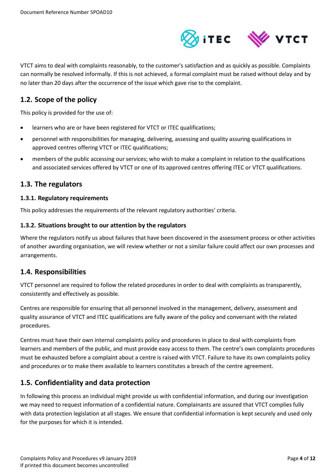

VTCT aims to deal with complaints reasonably, to the customer's satisfaction and as quickly as possible. Complaints can normally be resolved informally. If this is not achieved, a formal complaint must be raised without delay and by no later than 20 days after the occurrence of the issue which gave rise to the complaint.

## <span id="page-3-0"></span>**1.2. Scope of the policy**

This policy is provided for the use of:

- learners who are or have been registered for VTCT or ITEC qualifications;
- personnel with responsibilities for managing, delivering, assessing and quality assuring qualifications in approved centres offering VTCT or ITEC qualifications;
- members of the public accessing our services; who wish to make a complaint in relation to the qualifications and associated services offered by VTCT or one of its approved centres offering ITEC or VTCT qualifications.

#### <span id="page-3-1"></span>**1.3. The regulators**

#### <span id="page-3-2"></span>**1.3.1. Regulatory requirements**

This policy addresses the requirements of the relevant regulatory authorities' criteria.

#### <span id="page-3-3"></span>**1.3.2. Situations brought to our attention by the regulators**

Where the regulators notify us about failures that have been discovered in the assessment process or other activities of another awarding organisation, we will review whether or not a similar failure could affect our own processes and arrangements.

#### <span id="page-3-4"></span>**1.4. Responsibilities**

VTCT personnel are required to follow the related procedures in order to deal with complaints as transparently, consistently and effectively as possible.

Centres are responsible for ensuring that all personnel involved in the management, delivery, assessment and quality assurance of VTCT and ITEC qualifications are fully aware of the policy and conversant with the related procedures.

Centres must have their own internal complaints policy and procedures in place to deal with complaints from learners and members of the public, and must provide easy access to them. The centre's own complaints procedures must be exhausted before a complaint about a centre is raised with VTCT. Failure to have its own complaints policy and procedures or to make them available to learners constitutes a breach of the centre agreement.

## <span id="page-3-5"></span>**1.5. Confidentiality and data protection**

In following this process an individual might provide us with confidential information, and during our investigation we may need to request information of a confidential nature. Complainants are assured that VTCT complies fully with data protection legislation at all stages. We ensure that confidential information is kept securely and used only for the purposes for which it is intended.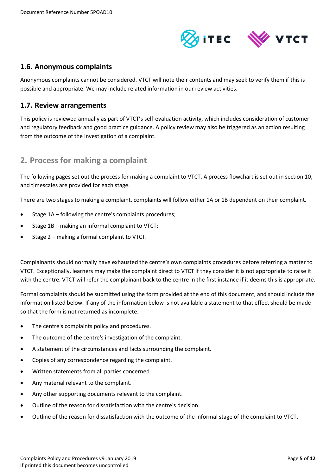

#### <span id="page-4-0"></span>**1.6. Anonymous complaints**

Anonymous complaints cannot be considered. VTCT will note their contents and may seek to verify them if this is possible and appropriate. We may include related information in our review activities.

#### <span id="page-4-1"></span>**1.7. Review arrangements**

This policy is reviewed annually as part of VTCT's self-evaluation activity, which includes consideration of customer and regulatory feedback and good practice guidance. A policy review may also be triggered as an action resulting from the outcome of the investigation of a complaint.

## <span id="page-4-2"></span>**2. Process for making a complaint**

The following pages set out the process for making a complaint to VTCT. A process flowchart is set out in section 10, and timescales are provided for each stage.

There are two stages to making a complaint, complaints will follow either 1A or 1B dependent on their complaint.

- Stage 1A following the centre's complaints procedures;
- Stage 1B making an informal complaint to VTCT;
- Stage 2 making a formal complaint to VTCT.

Complainants should normally have exhausted the centre's own complaints procedures before referring a matter to VTCT. Exceptionally, learners may make the complaint direct to VTCT if they consider it is not appropriate to raise it with the centre. VTCT will refer the complainant back to the centre in the first instance if it deems this is appropriate.

Formal complaints should be submitted using the form provided at the end of this document, and should include the information listed below. If any of the information below is not available a statement to that effect should be made so that the form is not returned as incomplete.

- The centre's complaints policy and procedures.
- The outcome of the centre's investigation of the complaint.
- A statement of the circumstances and facts surrounding the complaint.
- Copies of any correspondence regarding the complaint.
- Written statements from all parties concerned.
- Any material relevant to the complaint.
- Any other supporting documents relevant to the complaint.
- Outline of the reason for dissatisfaction with the centre's decision.
- Outline of the reason for dissatisfaction with the outcome of the informal stage of the complaint to VTCT.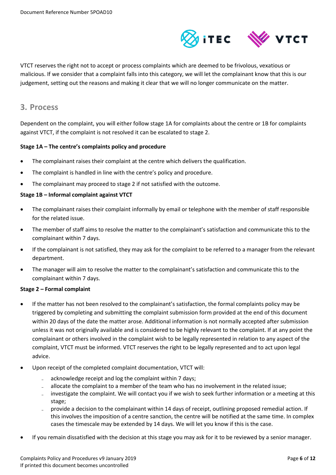

VTCT reserves the right not to accept or process complaints which are deemed to be frivolous, vexatious or malicious. If we consider that a complaint falls into this category, we will let the complainant know that this is our judgement, setting out the reasons and making it clear that we will no longer communicate on the matter.

#### <span id="page-5-0"></span>**3. Process**

Dependent on the complaint, you will either follow stage 1A for complaints about the centre or 1B for complaints against VTCT, if the complaint is not resolved it can be escalated to stage 2.

#### **Stage 1A – The centre's complaints policy and procedure**

- The complainant raises their complaint at the centre which delivers the qualification.
- The complaint is handled in line with the centre's policy and procedure.
- The complainant may proceed to stage 2 if not satisfied with the outcome.

#### **Stage 1B – Informal complaint against VTCT**

- The complainant raises their complaint informally by email or telephone with the member of staff responsible for the related issue.
- The member of staff aims to resolve the matter to the complainant's satisfaction and communicate this to the complainant within 7 days.
- If the complainant is not satisfied, they may ask for the complaint to be referred to a manager from the relevant department.
- The manager will aim to resolve the matter to the complainant's satisfaction and communicate this to the complainant within 7 days.

#### **Stage 2 – Formal complaint**

- If the matter has not been resolved to the complainant's satisfaction, the formal complaints policy may be triggered by completing and submitting the complaint submission form provided at the end of this document within 20 days of the date the matter arose. Additional information is not normally accepted after submission unless it was not originally available and is considered to be highly relevant to the complaint. If at any point the complainant or others involved in the complaint wish to be legally represented in relation to any aspect of the complaint, VTCT must be informed. VTCT reserves the right to be legally represented and to act upon legal advice.
- Upon receipt of the completed complaint documentation, VTCT will:
	- acknowledge receipt and log the complaint within 7 days;
	- allocate the complaint to a member of the team who has no involvement in the related issue;
	- investigate the complaint. We will contact you if we wish to seek further information or a meeting at this stage;
	- provide a decision to the complainant within 14 days of receipt, outlining proposed remedial action. If this involves the imposition of a centre sanction, the centre will be notified at the same time. In complex cases the timescale may be extended by 14 days. We will let you know if this is the case.
- If you remain dissatisfied with the decision at this stage you may ask for it to be reviewed by a senior manager.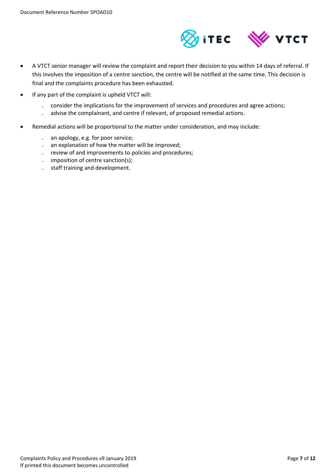

- A VTCT senior manager will review the complaint and report their decision to you within 14 days of referral. If this involves the imposition of a centre sanction, the centre will be notified at the same time. This decision is final and the complaints procedure has been exhausted.
- If any part of the complaint is upheld VTCT will:
	- consider the implications for the improvement of services and procedures and agree actions;
	- advise the complainant, and centre if relevant, of proposed remedial actions.
- Remedial actions will be proportional to the matter under consideration, and may include:
	- an apology, e.g. for poor service;
	- an explanation of how the matter will be improved;
	- review of and improvements to policies and procedures;
	- imposition of centre sanction(s);
	- staff training and development.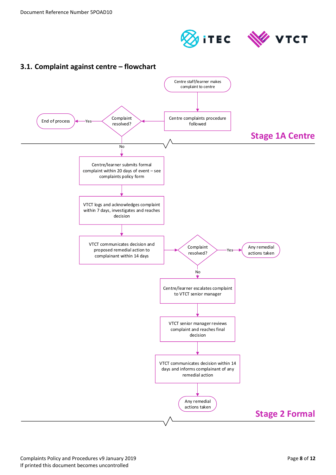

## <span id="page-7-0"></span>**3.1. Complaint against centre – flowchart**

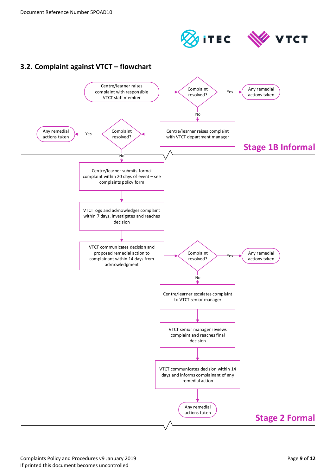

## <span id="page-8-0"></span>**3.2. Complaint against VTCT – flowchart**

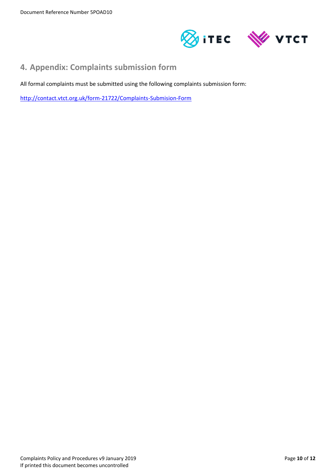

## <span id="page-9-0"></span>**4. Appendix: Complaints submission form**

All formal complaints must be submitted using the following complaints submission form:

<http://contact.vtct.org.uk/form-21722/Complaints-Submision-Form>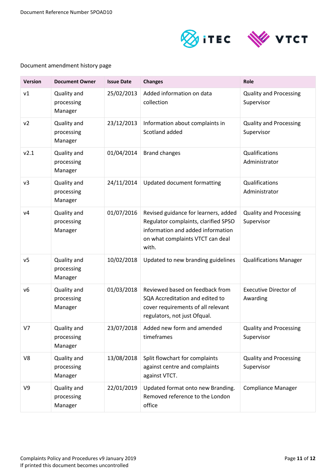

#### Document amendment history page

| <b>Version</b> | <b>Document Owner</b>                | <b>Issue Date</b> | <b>Changes</b>                                                                                                                                                 | Role                                        |
|----------------|--------------------------------------|-------------------|----------------------------------------------------------------------------------------------------------------------------------------------------------------|---------------------------------------------|
| v1             | Quality and<br>processing<br>Manager | 25/02/2013        | Added information on data<br>collection                                                                                                                        | <b>Quality and Processing</b><br>Supervisor |
| v <sub>2</sub> | Quality and<br>processing<br>Manager | 23/12/2013        | Information about complaints in<br>Scotland added                                                                                                              | <b>Quality and Processing</b><br>Supervisor |
| v2.1           | Quality and<br>processing<br>Manager | 01/04/2014        | <b>Brand changes</b>                                                                                                                                           | Qualifications<br>Administrator             |
| v3             | Quality and<br>processing<br>Manager | 24/11/2014        | <b>Updated document formatting</b>                                                                                                                             | Qualifications<br>Administrator             |
| V <sub>4</sub> | Quality and<br>processing<br>Manager | 01/07/2016        | Revised guidance for learners, added<br>Regulator complaints, clarified SPSO<br>information and added information<br>on what complaints VTCT can deal<br>with. | <b>Quality and Processing</b><br>Supervisor |
| v <sub>5</sub> | Quality and<br>processing<br>Manager | 10/02/2018        | Updated to new branding guidelines                                                                                                                             | <b>Qualifications Manager</b>               |
| v6             | Quality and<br>processing<br>Manager | 01/03/2018        | Reviewed based on feedback from<br>SQA Accreditation and edited to<br>cover requirements of all relevant<br>regulators, not just Ofqual.                       | <b>Executive Director of</b><br>Awarding    |
| V7             | Quality and<br>processing<br>Manager | 23/07/2018        | Added new form and amended<br>timeframes                                                                                                                       | <b>Quality and Processing</b><br>Supervisor |
| V8             | Quality and<br>processing<br>Manager | 13/08/2018        | Split flowchart for complaints<br>against centre and complaints<br>against VTCT.                                                                               | <b>Quality and Processing</b><br>Supervisor |
| V9             | Quality and<br>processing<br>Manager | 22/01/2019        | Updated format onto new Branding.<br>Removed reference to the London<br>office                                                                                 | <b>Compliance Manager</b>                   |